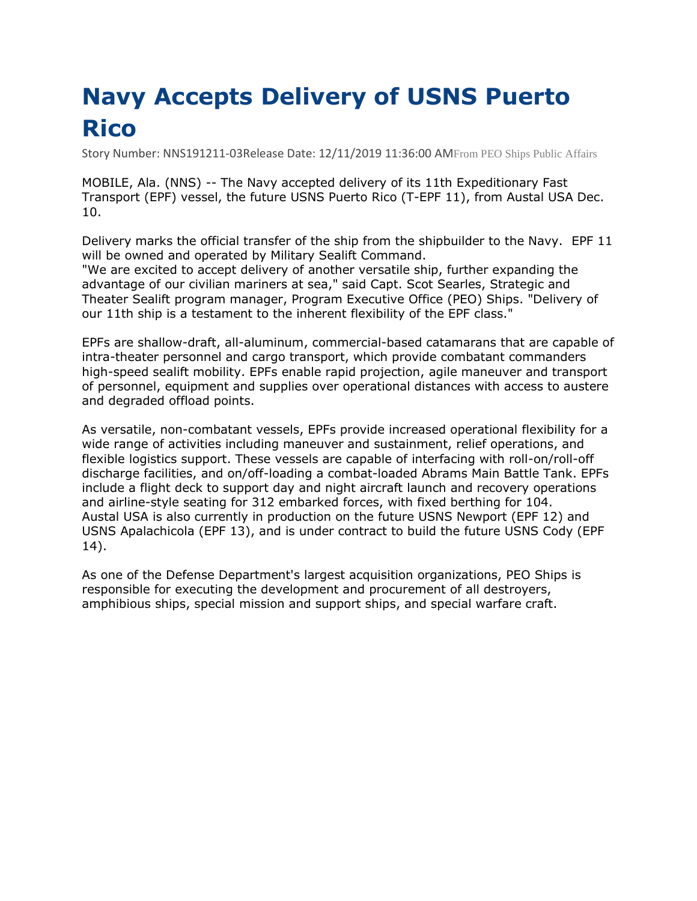## **Navy Accepts Delivery of USNS Puerto Rico**

Story Number: NNS191211-03Release Date: 12/11/2019 11:36:00 AMFrom PEO Ships Public Affairs

MOBILE, Ala. (NNS) -- The Navy accepted delivery of its 11th Expeditionary Fast Transport (EPF) vessel, the future USNS Puerto Rico (T-EPF 11), from Austal USA Dec. 10.

Delivery marks the official transfer of the ship from the shipbuilder to the Navy. EPF 11 will be owned and operated by Military Sealift Command.

"We are excited to accept delivery of another versatile ship, further expanding the advantage of our civilian mariners at sea," said Capt. Scot Searles, Strategic and Theater Sealift program manager, Program Executive Office (PEO) Ships. "Delivery of our 11th ship is a testament to the inherent flexibility of the EPF class."

EPFs are shallow-draft, all-aluminum, commercial-based catamarans that are capable of intra-theater personnel and cargo transport, which provide combatant commanders high-speed sealift mobility. EPFs enable rapid projection, agile maneuver and transport of personnel, equipment and supplies over operational distances with access to austere and degraded offload points.

As versatile, non-combatant vessels, EPFs provide increased operational flexibility for a wide range of activities including maneuver and sustainment, relief operations, and flexible logistics support. These vessels are capable of interfacing with roll-on/roll-off discharge facilities, and on/off-loading a combat-loaded Abrams Main Battle Tank. EPFs include a flight deck to support day and night aircraft launch and recovery operations and airline-style seating for 312 embarked forces, with fixed berthing for 104. Austal USA is also currently in production on the future USNS Newport (EPF 12) and USNS Apalachicola (EPF 13), and is under contract to build the future USNS Cody (EPF 14).

As one of the Defense Department's largest acquisition organizations, PEO Ships is responsible for executing the development and procurement of all destroyers, amphibious ships, special mission and support ships, and special warfare craft.